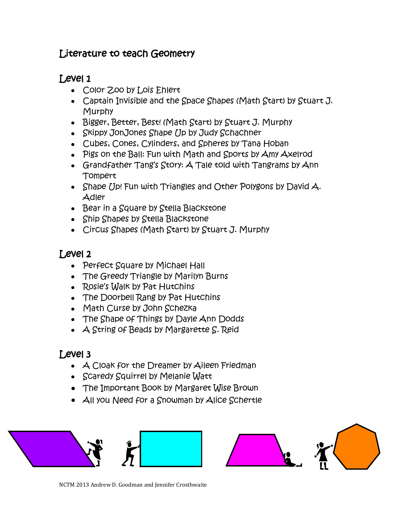### Literature to teach Geometry

## Level 1

- Color Zoo by Lois Ehlert
- Captain Invisible and the Space Shapes (Math Start) by Stuart J. Murphy
- Bigger, Better, Best! (Math Start) by Stuart J. Murphy
- Skippy JonJones Shape Up by Judy Schachner
- Cubes, Cones, Cylinders, and Spheres by Tana Hoban
- Pigs on the Ball: Fun with Math and Sports by Amy Axelrod
- Grandfather Tang's Story: A Tale told with Tangrams by Ann Tompert
- Shape Up! Fun with Triangles and Other Polygons by David  $\mathcal{A}$ . Adler
- $\bullet$  Bear in a Square by Stella Blackstone
- Ship Shapes by Stella Blackstone
- Circus Shapes (Math Start) by Stuart J. Murphy

## Level 2

- Perfect Square by Michael Hall
- The Greedy Triangle by Marilyn Burns
- Rosie's Walk by Pat Hutchins
- The Doorbell Rang by Pat Hutchins
- Math Curse by John Schezka
- The Shape of Things by Dayle Ann Dodds
- A String of Beads by Margarette S. Reid

# Level 3

- $\bullet\;\;$   $\Delta$  Cloak for the Dreamer by Aileen Friedman
- Scaredy Squirrel by Melanie Watt
- The Important Book by Margaret Wise Brown
- All you Need for a Snowman by Alice Schertle



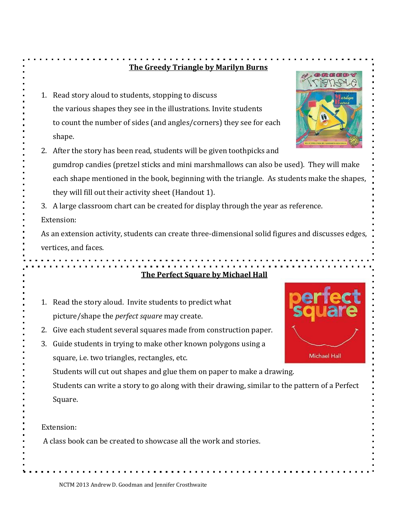#### **The Greedy Triangle by Marilyn Burns**

 $\blacksquare$ 

|    | 1. Read story aloud to students, stopping to discuss                                                         |                     |
|----|--------------------------------------------------------------------------------------------------------------|---------------------|
|    | the various shapes they see in the illustrations. Invite students                                            |                     |
|    | to count the number of sides (and angles/corners) they see for each                                          |                     |
|    | shape.                                                                                                       |                     |
|    | 2. After the story has been read, students will be given toothpicks and                                      |                     |
|    | gumdrop candies (pretzel sticks and mini marshmallows can also be used). They will make                      |                     |
|    | each shape mentioned in the book, beginning with the triangle. As students make the shapes,                  |                     |
|    | they will fill out their activity sheet (Handout 1).                                                         |                     |
| 3. | A large classroom chart can be created for display through the year as reference.                            |                     |
|    | Extension:                                                                                                   |                     |
|    | As an extension activity, students can create three-dimensional solid figures and discusses edges,           |                     |
|    | vertices, and faces.                                                                                         |                     |
|    |                                                                                                              |                     |
|    | <u>The Perfect Square by Michael Hall</u>                                                                    |                     |
|    | Read the story aloud. Invite students to predict what<br>picture/shape the <i>perfect square</i> may create. |                     |
| 2. | Give each student several squares made from construction paper.                                              |                     |
| 3. | Guide students in trying to make other known polygons using a                                                |                     |
|    |                                                                                                              |                     |
|    | square, i.e. two triangles, rectangles, etc.                                                                 | <b>Michael Hall</b> |
|    | Students will cut out shapes and glue them on paper to make a drawing.                                       |                     |
|    | Students can write a story to go along with their drawing, similar to the pattern of a Perfect               |                     |
|    | Square.                                                                                                      |                     |
|    |                                                                                                              |                     |
|    | Extension:                                                                                                   |                     |
|    | A class book can be created to showcase all the work and stories.                                            |                     |
|    |                                                                                                              |                     |

NCTM 2013 Andrew D. Goodman and Jennifer Crosthwaite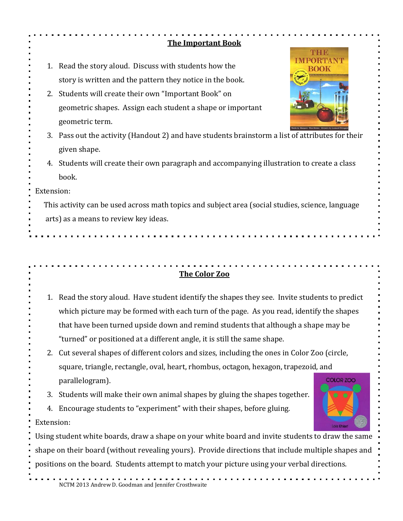|            | <b>The Important Book</b>                                                                           |                   |  |  |  |
|------------|-----------------------------------------------------------------------------------------------------|-------------------|--|--|--|
|            |                                                                                                     | THE               |  |  |  |
| 1.         | Read the story aloud. Discuss with students how the                                                 |                   |  |  |  |
|            | story is written and the pattern they notice in the book.                                           |                   |  |  |  |
|            | 2. Students will create their own "Important Book" on                                               |                   |  |  |  |
|            | geometric shapes. Assign each student a shape or important                                          |                   |  |  |  |
|            | geometric term.                                                                                     |                   |  |  |  |
|            | 3. Pass out the activity (Handout 2) and have students brainstorm a list of attributes for their    |                   |  |  |  |
|            | given shape.                                                                                        |                   |  |  |  |
|            | 4. Students will create their own paragraph and accompanying illustration to create a class         |                   |  |  |  |
|            | book.                                                                                               |                   |  |  |  |
| Extension: |                                                                                                     |                   |  |  |  |
|            | This activity can be used across math topics and subject area (social studies, science, language    |                   |  |  |  |
|            | arts) as a means to review key ideas.                                                               |                   |  |  |  |
|            |                                                                                                     |                   |  |  |  |
|            |                                                                                                     |                   |  |  |  |
|            |                                                                                                     |                   |  |  |  |
|            |                                                                                                     |                   |  |  |  |
|            | The Color Zoo                                                                                       |                   |  |  |  |
|            |                                                                                                     |                   |  |  |  |
|            | 1. Read the story aloud. Have student identify the shapes they see. Invite students to predict      |                   |  |  |  |
|            | which picture may be formed with each turn of the page. As you read, identify the shapes            |                   |  |  |  |
|            | that have been turned upside down and remind students that although a shape may be                  |                   |  |  |  |
|            | "turned" or positioned at a different angle, it is still the same shape.                            |                   |  |  |  |
|            | 2. Cut several shapes of different colors and sizes, including the ones in Color Zoo (circle,       |                   |  |  |  |
|            | square, triangle, rectangle, oval, heart, rhombus, octagon, hexagon, trapezoid, and                 | <b>COLOR ZOO</b>  |  |  |  |
|            | parallelogram).                                                                                     |                   |  |  |  |
|            | 3. Students will make their own animal shapes by gluing the shapes together.                        |                   |  |  |  |
| 4.         | Encourage students to "experiment" with their shapes, before gluing.                                |                   |  |  |  |
| Extension: |                                                                                                     | <b>Lois Ehier</b> |  |  |  |
|            | Using student white boards, draw a shape on your white board and invite students to draw the same   |                   |  |  |  |
|            | shape on their board (without revealing yours). Provide directions that include multiple shapes and |                   |  |  |  |
|            | positions on the board. Students attempt to match your picture using your verbal directions.        |                   |  |  |  |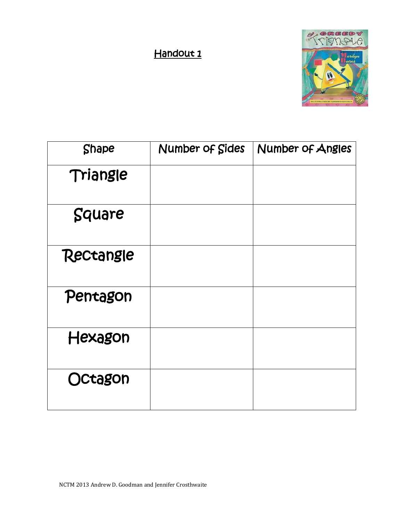## Handout<sub>1</sub>



| <b>Shape</b> | Number of Sides | Number of Angles |
|--------------|-----------------|------------------|
| Triangle     |                 |                  |
| Square       |                 |                  |
| Rectangle    |                 |                  |
| Pentagon     |                 |                  |
| Hexagon      |                 |                  |
| Octagon      |                 |                  |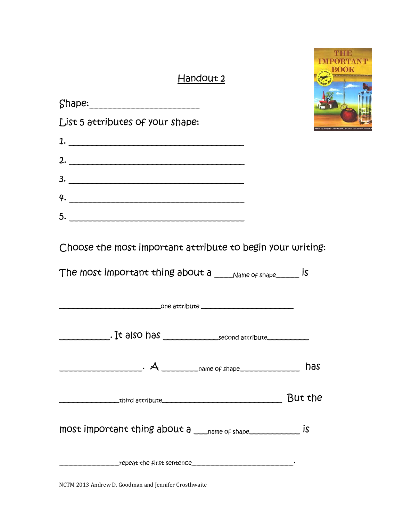## Handout 2



| List 5 attributes of your shape:                                                                                                                                                                                                                                                                                                                                   |         |  |
|--------------------------------------------------------------------------------------------------------------------------------------------------------------------------------------------------------------------------------------------------------------------------------------------------------------------------------------------------------------------|---------|--|
| 1.                                                                                                                                                                                                                                                                                                                                                                 |         |  |
| 2. $\overline{\phantom{a}}$                                                                                                                                                                                                                                                                                                                                        |         |  |
| 3.                                                                                                                                                                                                                                                                                                                                                                 |         |  |
| 4.                                                                                                                                                                                                                                                                                                                                                                 |         |  |
| 5.                                                                                                                                                                                                                                                                                                                                                                 |         |  |
| Choose the most important attribute to begin your writing:<br>The most important thing about a ____ Name of shape______ is                                                                                                                                                                                                                                         |         |  |
| $\begin{picture}(180,10) \put(0,0){\vector(1,0){100}} \put(15,0){\vector(1,0){100}} \put(15,0){\vector(1,0){100}} \put(15,0){\vector(1,0){100}} \put(15,0){\vector(1,0){100}} \put(15,0){\vector(1,0){100}} \put(15,0){\vector(1,0){100}} \put(15,0){\vector(1,0){100}} \put(15,0){\vector(1,0){100}} \put(15,0){\vector(1,0){100}} \put(15,0){\vector(1,0){100}}$ |         |  |
|                                                                                                                                                                                                                                                                                                                                                                    | has     |  |
|                                                                                                                                                                                                                                                                                                                                                                    | But the |  |
| most important thing about $a_{\text{name of shape}}$                                                                                                                                                                                                                                                                                                              |         |  |
|                                                                                                                                                                                                                                                                                                                                                                    |         |  |